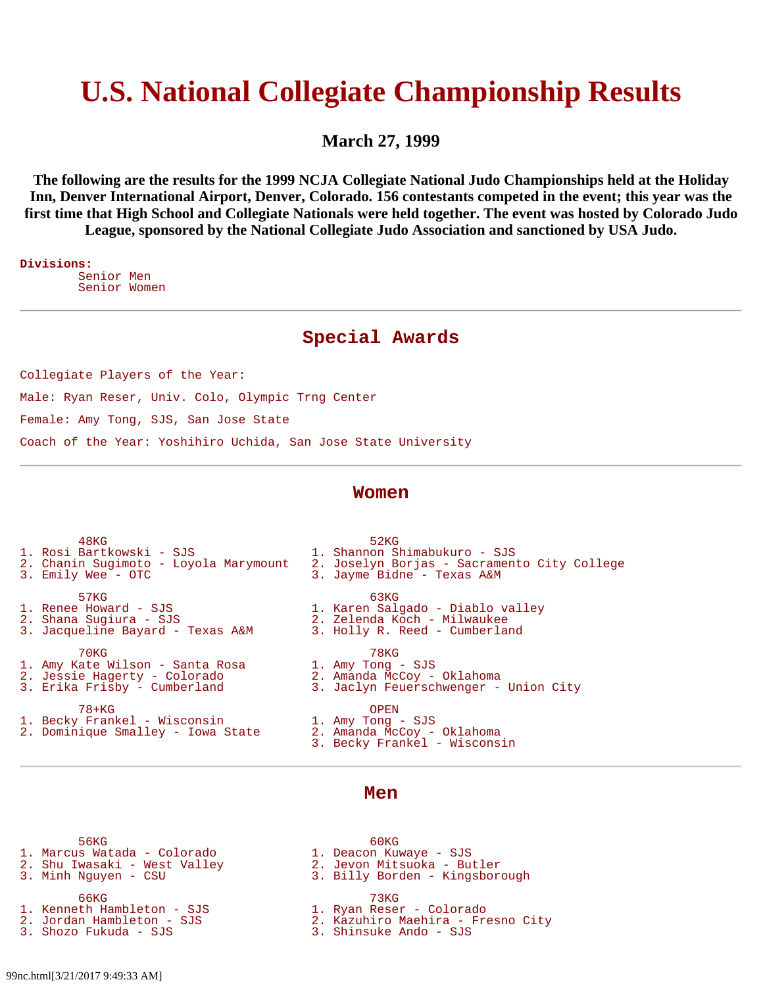# **U.S. National Collegiate Championship Results**

**March 27, 1999**

**The following are the results for the 1999 NCJA Collegiate National Judo Championships held at the Holiday Inn, Denver International Airport, Denver, Colorado. 156 contestants competed in the event; this year was the first time that High School and Collegiate Nationals were held together. The event was hosted by Colorado Judo League, sponsored by the National Collegiate Judo Association and sanctioned by USA Judo.**

**Divisions:** Senior Men Senior Women

## **Special Awards**

Collegiate Players of the Year: Male: Ryan Reser, Univ. Colo, Olympic Trng Center Female: Amy Tong, SJS, San Jose State Coach of the Year: Yoshihiro Uchida, San Jose State University

### **Women**

| 48 <sub>KG</sub>                      | 52KG                                        |
|---------------------------------------|---------------------------------------------|
| 1. Rosi Bartkowski - SJS              | 1. Shannon Shimabukuro - SJS                |
| 2. Chanin Sugimoto - Loyola Marymount | 2. Joselyn Borjas - Sacramento City College |
| 3. Emily Wee - OTC                    | 3. Jayme Bidne - Texas A&M                  |
|                                       |                                             |
| 57KG                                  | 63KG                                        |
| 1. Renee Howard - SJS                 | 1. Karen Salgado - Diablo valley            |
| 2. Shana Sugiura - SJS                | 2. Zelenda Koch - Milwaukee                 |
| 3. Jacqueline Bayard - Texas A&M      | 3. Holly R. Reed - Cumberland               |
| 70KG                                  | 78KG                                        |
| 1. Amy Kate Wilson - Santa Rosa       | 1. Amy Tong - SJS                           |
| 2. Jessie Hagerty - Colorado          | 2. Amanda McCoy - Oklahoma                  |
| 3. Erika Frisby - Cumberland          | 3. Jaclyn Feuerschwenger - Union City       |
|                                       |                                             |
| 78+KG                                 | OPEN                                        |
| 1. Becky Frankel - Wisconsin          | 1. Amy Tong - SJS                           |
| 2. Dominique Smalley - Iowa State     | 2. Amanda McCoy - Oklahoma                  |
|                                       |                                             |

#### 3. Becky Frankel - Wisconsin

- 56KG 60KG 1. Marcus Watada - Colorado 1. Deacon Kuwaye - SJS
- 2. Shu Iwasaki West Valley 2. Jevon Mitsuoka Butler
- - 66KG 73KG
- 1. Kenneth Hambleton SJS 1. Ryan Reser Colorado
- 
- 

**Men**

- 
- 3. Billy Borden Kingsborough
	-
	-
- 2. Jordan Hambleton SJS 2. Kazuhiro Maehira Fresno City
	- 3. Shinsuke Ando SJS

99nc.html[3/21/2017 9:49:33 AM]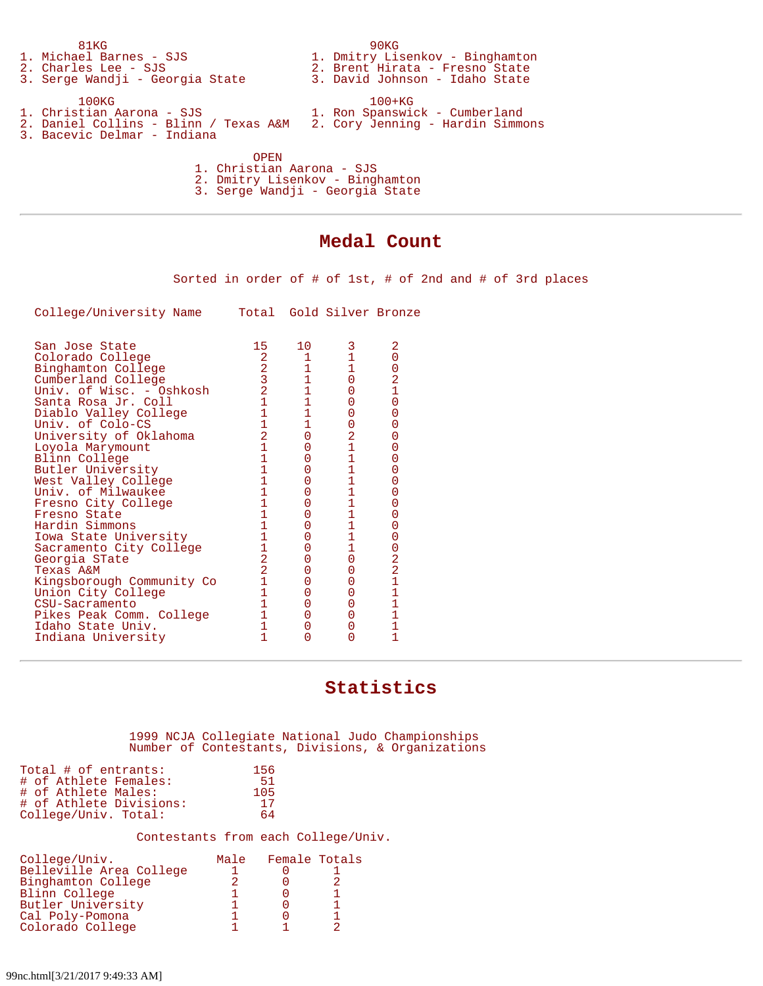|                                 | 81KG                                                                     |  | 90 <sub>KG</sub>                |  |  |  |
|---------------------------------|--------------------------------------------------------------------------|--|---------------------------------|--|--|--|
|                                 | 1. Michael Barnes - SJS                                                  |  | 1. Dmitry Lisenkov - Binghamton |  |  |  |
|                                 | 2. Charles Lee - SJS                                                     |  | 2. Brent Hirata - Fresno State  |  |  |  |
|                                 | 3. Serge Wandji - Georgia State                                          |  | 3. David Johnson - Idaho State  |  |  |  |
|                                 | 100 <sub>KG</sub>                                                        |  | $100+KG$                        |  |  |  |
|                                 | 1. Christian Aarona - SJS                                                |  | 1. Ron Spanswick - Cumberland   |  |  |  |
|                                 | 2. Daniel Collins - Blinn / Texas A&M   2. Cory Jenning - Hardin Simmons |  |                                 |  |  |  |
|                                 | 3. Bacevic Delmar - Indiana                                              |  |                                 |  |  |  |
|                                 |                                                                          |  |                                 |  |  |  |
|                                 | OPEN                                                                     |  |                                 |  |  |  |
|                                 | 1. Christian Aarona - SJS                                                |  |                                 |  |  |  |
|                                 | 2. Dmitry Lisenkov - Binghamton                                          |  |                                 |  |  |  |
| 3. Serge Wandji - Georgia State |                                                                          |  |                                 |  |  |  |
|                                 |                                                                          |  |                                 |  |  |  |

# **Medal Count**

Sorted in order of # of 1st, # of 2nd and # of 3rd places

College/University Name Total Gold Silver Bronze

| San Jose State            | 15             | 10             | 3                                          | 2              |
|---------------------------|----------------|----------------|--------------------------------------------|----------------|
| Colorado College          |                |                |                                            | 0              |
| Binghamton College        | $\frac{2}{3}$  | 1              |                                            | $\frac{0}{2}$  |
| Cumberland College        |                | $\mathbf{1}$   | 0                                          |                |
| Univ. of Wisc. - Oshkosh  | $\overline{2}$ | $\overline{1}$ | 0                                          | $\overline{1}$ |
| Santa Rosa Jr. Coll       | $\mathbf{1}$   | $\mathbf{1}$   | 0                                          | $\overline{0}$ |
| Diablo Valley College     | $\mathbf{1}$   | $\overline{1}$ | 0                                          | $\overline{0}$ |
| Univ. of Colo-CS          | $\mathbf{1}$   | $\mathbf{1}$   | 0                                          | 0              |
| University of Oklahoma    | $\overline{2}$ | 0              | 2                                          | $\overline{0}$ |
| Loyola Marymount          | $\mathbf{1}$   | 0              | $\overline{1}$                             | 0              |
| Blinn College             |                | 0              | $\mathbf 1$                                | $\overline{0}$ |
| Butler University         |                | 0              | $\mathbf{1}$                               | $\overline{0}$ |
| West Valley College       |                |                | $\mathbf 1$                                | $\overline{0}$ |
| Univ. of Milwaukee        |                | 0              |                                            | $\overline{0}$ |
| Fresno City College       |                | 0              | $\begin{array}{c} 1 \\ 1 \\ 1 \end{array}$ | $\overline{0}$ |
| Fresno State              |                | 0              |                                            | 0              |
| Hardin Simmons            |                | 0              | $\mathbf{1}$                               | $\overline{0}$ |
| Iowa State University     |                |                | $\overline{1}$                             | $\overline{0}$ |
| Sacramento City College   |                | O              | $\overline{1}$                             |                |
| Georgia STate             | $\overline{2}$ | 0              | 0                                          |                |
| Texas A&M                 | $\overline{2}$ |                | 0                                          |                |
| Kingsborough Community Co |                | 0              | 0                                          | 022111         |
| Union City College        |                | 0              | 0                                          |                |
| CSU-Sacramento            | 1              | 0              | 0                                          |                |
| Pikes Peak Comm. College  |                | 0              | 0                                          | $\overline{1}$ |
| Idaho State Univ.         |                | 0              | 0                                          | $\overline{1}$ |
| Indiana University        |                |                | 0                                          | 1              |
|                           |                |                |                                            |                |

# **Statistics**

#### 1999 NCJA Collegiate National Judo Championships Number of Contestants, Divisions, & Organizations

| Total # of entrants:    | 156 |  |
|-------------------------|-----|--|
| # of Athlete Females:   | 51  |  |
| # of Athlete Males:     | 105 |  |
| # of Athlete Divisions: | -17 |  |
| College/Univ. Total:    | 64  |  |

#### Contestants from each College/Univ.

| College/Univ.           | Male | Female Totals |  |
|-------------------------|------|---------------|--|
| Belleville Area College |      |               |  |
| Binghamton College      |      |               |  |
| Blinn College           |      |               |  |
| Butler University       |      |               |  |
| Cal Poly-Pomona         |      |               |  |
| Colorado College        |      |               |  |